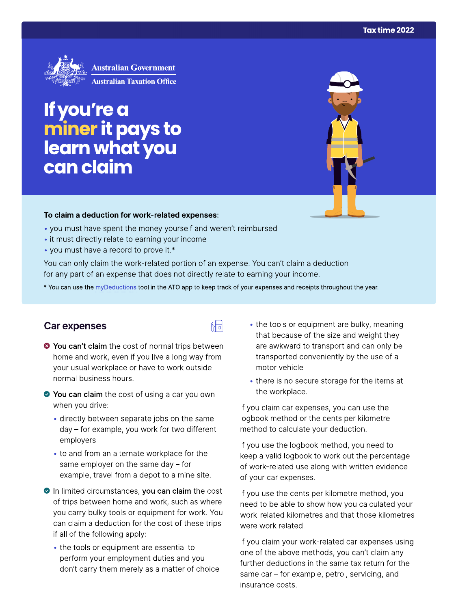

If you're a miner it pays to<br>learn what you can claim

#### To claim a deduction for work-related expenses:

- you must have spent the money yourself and weren't reimbursed
- it must directly relate to earning your income
- you must have a record to prove it.\*

You can only claim the work-related portion of an expense. You can't claim a deduction for any part of an expense that does not directly relate to earning your income.

\* You can use the myDeductions tool in the ATO app to keep track of your expenses and receipts throughout the year.

品

### **Car expenses**

- <sup>●</sup> You can't claim the cost of normal trips between home and work, even if you live a long way from your usual workplace or have to work outside normal business hours.
- ◆ You can claim the cost of using a car you own when you drive:
	- · directly between separate jobs on the same day - for example, you work for two different employers
	- to and from an alternate workplace for the same employer on the same day  $-$  for example, travel from a depot to a mine site.
- In limited circumstances, you can claim the cost of trips between home and work, such as where you carry bulky tools or equipment for work. You can claim a deduction for the cost of these trips if all of the following apply:
	- the tools or equipment are essential to perform your employment duties and you don't carry them merely as a matter of choice
- the tools or equipment are bulky, meaning that because of the size and weight they are awkward to transport and can only be transported conveniently by the use of a motor vehicle
- there is no secure storage for the items at the workplace.

If you claim car expenses, you can use the logbook method or the cents per kilometre method to calculate your deduction.

If you use the logbook method, you need to keep a valid logbook to work out the percentage of work-related use along with written evidence of your car expenses.

If you use the cents per kilometre method, you need to be able to show how you calculated your work-related kilometres and that those kilometres were work related.

If you claim your work-related car expenses using one of the above methods, you can't claim any further deductions in the same tax return for the same car – for example, petrol, servicing, and insurance costs.